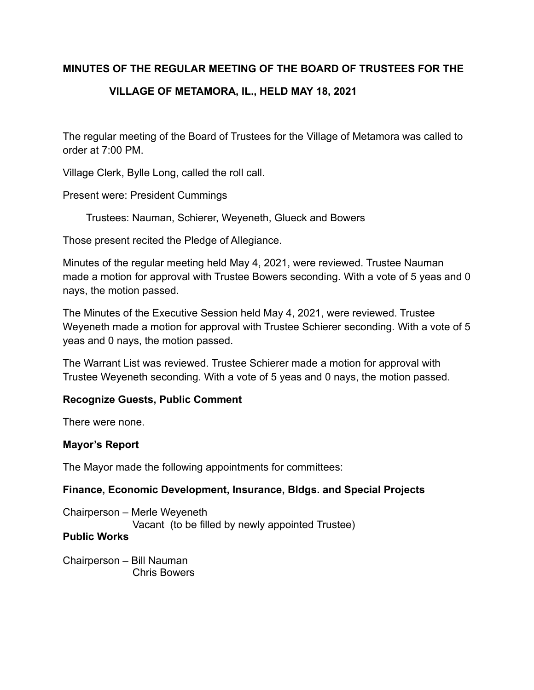### **MINUTES OF THE REGULAR MEETING OF THE BOARD OF TRUSTEES FOR THE**

# **VILLAGE OF METAMORA, IL., HELD MAY 18, 2021**

The regular meeting of the Board of Trustees for the Village of Metamora was called to order at 7:00 PM.

Village Clerk, Bylle Long, called the roll call.

Present were: President Cummings

Trustees: Nauman, Schierer, Weyeneth, Glueck and Bowers

Those present recited the Pledge of Allegiance.

Minutes of the regular meeting held May 4, 2021, were reviewed. Trustee Nauman made a motion for approval with Trustee Bowers seconding. With a vote of 5 yeas and 0 nays, the motion passed.

The Minutes of the Executive Session held May 4, 2021, were reviewed. Trustee Weyeneth made a motion for approval with Trustee Schierer seconding. With a vote of 5 yeas and 0 nays, the motion passed.

The Warrant List was reviewed. Trustee Schierer made a motion for approval with Trustee Weyeneth seconding. With a vote of 5 yeas and 0 nays, the motion passed.

# **Recognize Guests, Public Comment**

There were none.

#### **Mayor's Report**

The Mayor made the following appointments for committees:

#### **Finance, Economic Development, Insurance, Bldgs. and Special Projects**

Chairperson – Merle Weyeneth Vacant (to be filled by newly appointed Trustee)

### **Public Works**

Chairperson – Bill Nauman Chris Bowers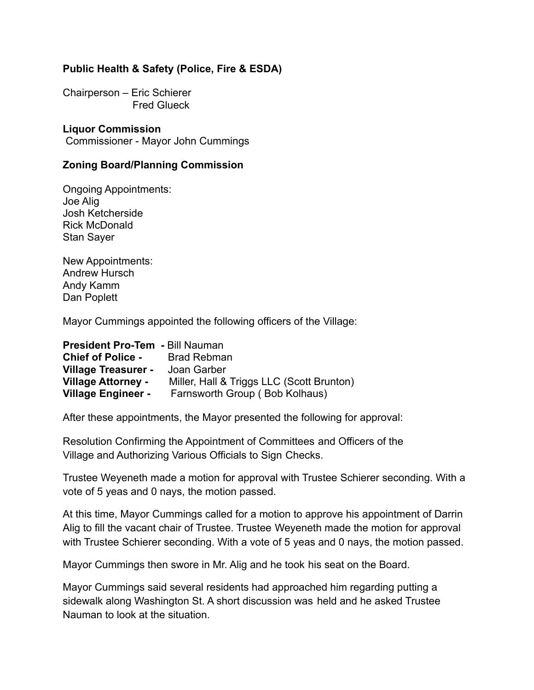### **Public Health & Safety (Police, Fire & ESDA)**

Chairperson – Eric Schierer Fred Glueck

**Liquor Commission** Commissioner - Mayor John Cummings

### **Zoning Board/Planning Commission**

Ongoing Appointments: Joe Alig Josh Ketcherside Rick McDonald Stan Sayer

New Appointments: Andrew Hursch Andy Kamm Dan Poplett

Mayor Cummings appointed the following officers of the Village:

| <b>President Pro-Tem - Bill Nauman</b> |                                           |
|----------------------------------------|-------------------------------------------|
| <b>Chief of Police -</b>               | <b>Brad Rebman</b>                        |
| Village Treasurer -                    | Joan Garber                               |
| <b>Village Attorney -</b>              | Miller, Hall & Triggs LLC (Scott Brunton) |
| <b>Village Engineer -</b>              | Farnsworth Group (Bob Kolhaus)            |

After these appointments, the Mayor presented the following for approval:

Resolution Confirming the Appointment of Committees and Officers of the Village and Authorizing Various Officials to Sign Checks.

Trustee Weyeneth made a motion for approval with Trustee Schierer seconding. With a vote of 5 yeas and 0 nays, the motion passed.

At this time, Mayor Cummings called for a motion to approve his appointment of Darrin Alig to fill the vacant chair of Trustee. Trustee Weyeneth made the motion for approval with Trustee Schierer seconding. With a vote of 5 yeas and 0 nays, the motion passed.

Mayor Cummings then swore in Mr. Alig and he took his seat on the Board.

Mayor Cummings said several residents had approached him regarding putting a sidewalk along Washington St. A short discussion was held and he asked Trustee Nauman to look at the situation.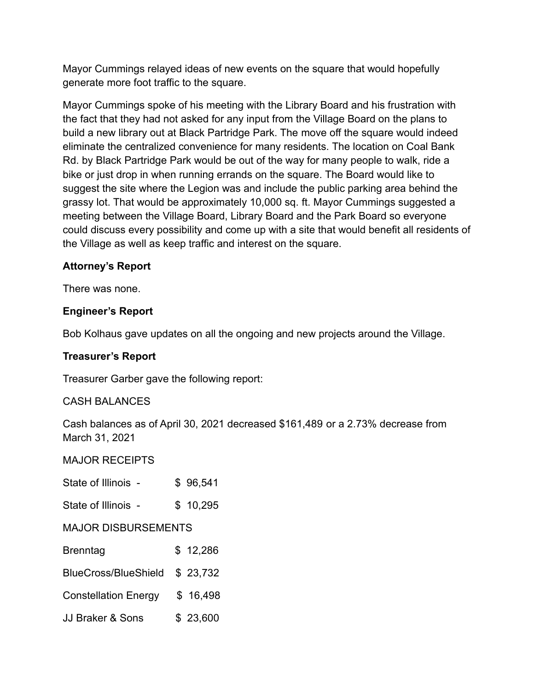Mayor Cummings relayed ideas of new events on the square that would hopefully generate more foot traffic to the square.

Mayor Cummings spoke of his meeting with the Library Board and his frustration with the fact that they had not asked for any input from the Village Board on the plans to build a new library out at Black Partridge Park. The move off the square would indeed eliminate the centralized convenience for many residents. The location on Coal Bank Rd. by Black Partridge Park would be out of the way for many people to walk, ride a bike or just drop in when running errands on the square. The Board would like to suggest the site where the Legion was and include the public parking area behind the grassy lot. That would be approximately 10,000 sq. ft. Mayor Cummings suggested a meeting between the Village Board, Library Board and the Park Board so everyone could discuss every possibility and come up with a site that would benefit all residents of the Village as well as keep traffic and interest on the square.

# **Attorney's Report**

There was none.

# **Engineer's Report**

Bob Kolhaus gave updates on all the ongoing and new projects around the Village.

# **Treasurer's Report**

Treasurer Garber gave the following report:

# CASH BALANCES

Cash balances as of April 30, 2021 decreased \$161,489 or a 2.73% decrease from March 31, 2021

| <b>MAJOR RECEIPTS</b>       |  |          |  |
|-----------------------------|--|----------|--|
| State of Illinois -         |  | \$96,541 |  |
| State of Illinois -         |  | \$10,295 |  |
| <b>MAJOR DISBURSEMENTS</b>  |  |          |  |
| Brenntag                    |  | \$12,286 |  |
| BlueCross/BlueShield        |  | \$23,732 |  |
| <b>Constellation Energy</b> |  | \$16,498 |  |
| JJ Braker & Sons            |  | \$23,600 |  |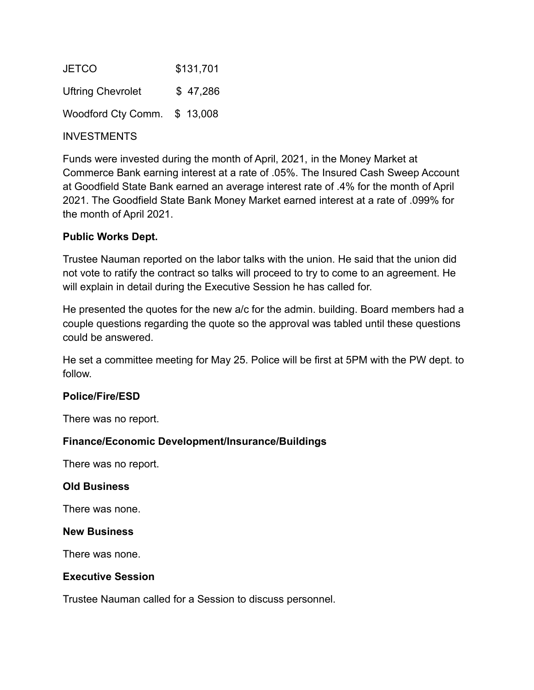JETCO \$131,701 Uftring Chevrolet \$47,286 Woodford Cty Comm. \$ 13,008

### INVESTMENTS

Funds were invested during the month of April, 2021, in the Money Market at Commerce Bank earning interest at a rate of .05%. The Insured Cash Sweep Account at Goodfield State Bank earned an average interest rate of .4% for the month of April 2021. The Goodfield State Bank Money Market earned interest at a rate of .099% for the month of April 2021.

### **Public Works Dept.**

Trustee Nauman reported on the labor talks with the union. He said that the union did not vote to ratify the contract so talks will proceed to try to come to an agreement. He will explain in detail during the Executive Session he has called for.

He presented the quotes for the new a/c for the admin. building. Board members had a couple questions regarding the quote so the approval was tabled until these questions could be answered.

He set a committee meeting for May 25. Police will be first at 5PM with the PW dept. to follow.

# **Police/Fire/ESD**

There was no report.

# **Finance/Economic Development/Insurance/Buildings**

There was no report.

#### **Old Business**

There was none.

#### **New Business**

There was none.

#### **Executive Session**

Trustee Nauman called for a Session to discuss personnel.